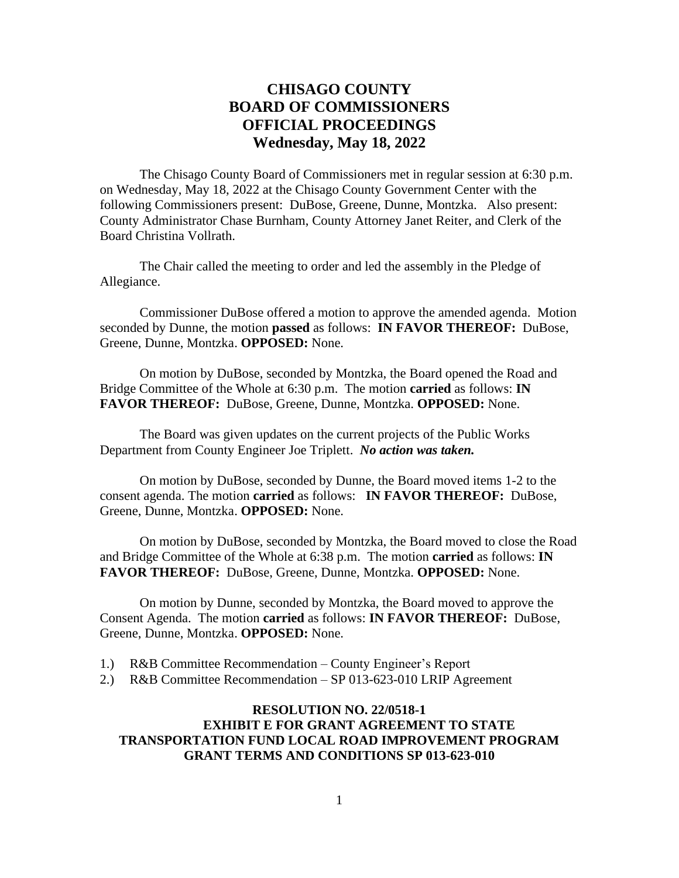# **CHISAGO COUNTY BOARD OF COMMISSIONERS OFFICIAL PROCEEDINGS Wednesday, May 18, 2022**

The Chisago County Board of Commissioners met in regular session at 6:30 p.m. on Wednesday, May 18, 2022 at the Chisago County Government Center with the following Commissioners present: DuBose, Greene, Dunne, Montzka. Also present: County Administrator Chase Burnham, County Attorney Janet Reiter, and Clerk of the Board Christina Vollrath.

The Chair called the meeting to order and led the assembly in the Pledge of Allegiance.

Commissioner DuBose offered a motion to approve the amended agenda. Motion seconded by Dunne, the motion **passed** as follows: **IN FAVOR THEREOF:** DuBose, Greene, Dunne, Montzka. **OPPOSED:** None.

On motion by DuBose, seconded by Montzka, the Board opened the Road and Bridge Committee of the Whole at 6:30 p.m. The motion **carried** as follows: **IN FAVOR THEREOF:** DuBose, Greene, Dunne, Montzka. **OPPOSED:** None.

The Board was given updates on the current projects of the Public Works Department from County Engineer Joe Triplett. *No action was taken.*

On motion by DuBose, seconded by Dunne, the Board moved items 1-2 to the consent agenda. The motion **carried** as follows: **IN FAVOR THEREOF:** DuBose, Greene, Dunne, Montzka. **OPPOSED:** None.

On motion by DuBose, seconded by Montzka, the Board moved to close the Road and Bridge Committee of the Whole at 6:38 p.m. The motion **carried** as follows: **IN FAVOR THEREOF:** DuBose, Greene, Dunne, Montzka. **OPPOSED:** None.

On motion by Dunne, seconded by Montzka, the Board moved to approve the Consent Agenda. The motion **carried** as follows: **IN FAVOR THEREOF:** DuBose, Greene, Dunne, Montzka. **OPPOSED:** None.

- 1.) R&B Committee Recommendation County Engineer's Report
- 2.) R&B Committee Recommendation SP 013-623-010 LRIP Agreement

## **RESOLUTION NO. 22/0518-1 EXHIBIT E FOR GRANT AGREEMENT TO STATE TRANSPORTATION FUND LOCAL ROAD IMPROVEMENT PROGRAM GRANT TERMS AND CONDITIONS SP 013-623-010**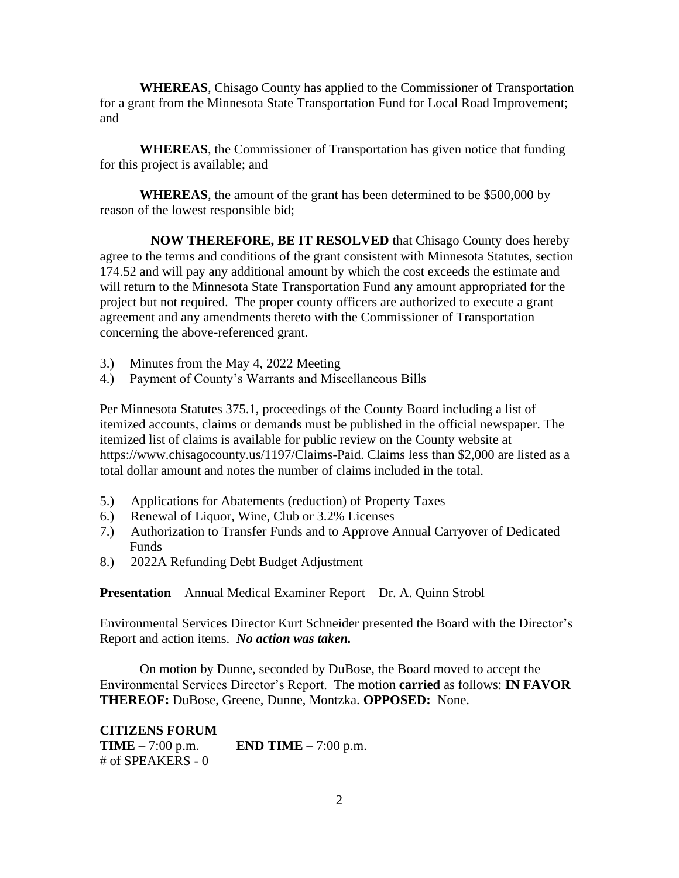**WHEREAS**, Chisago County has applied to the Commissioner of Transportation for a grant from the Minnesota State Transportation Fund for Local Road Improvement; and

**WHEREAS**, the Commissioner of Transportation has given notice that funding for this project is available; and

**WHEREAS**, the amount of the grant has been determined to be \$500,000 by reason of the lowest responsible bid;

**NOW THEREFORE, BE IT RESOLVED** that Chisago County does hereby agree to the terms and conditions of the grant consistent with Minnesota Statutes, section 174.52 and will pay any additional amount by which the cost exceeds the estimate and will return to the Minnesota State Transportation Fund any amount appropriated for the project but not required. The proper county officers are authorized to execute a grant agreement and any amendments thereto with the Commissioner of Transportation concerning the above-referenced grant.

- 3.) Minutes from the May 4, 2022 Meeting
- 4.) Payment of County's Warrants and Miscellaneous Bills

Per Minnesota Statutes 375.1, proceedings of the County Board including a list of itemized accounts, claims or demands must be published in the official newspaper. The itemized list of claims is available for public review on the County website at https://www.chisagocounty.us/1197/Claims-Paid. Claims less than \$2,000 are listed as a total dollar amount and notes the number of claims included in the total.

- 5.) Applications for Abatements (reduction) of Property Taxes
- 6.) Renewal of Liquor, Wine, Club or 3.2% Licenses
- 7.) Authorization to Transfer Funds and to Approve Annual Carryover of Dedicated Funds
- 8.) 2022A Refunding Debt Budget Adjustment

**Presentation** – Annual Medical Examiner Report – Dr. A. Quinn Strobl

Environmental Services Director Kurt Schneider presented the Board with the Director's Report and action items. *No action was taken.*

On motion by Dunne, seconded by DuBose, the Board moved to accept the Environmental Services Director's Report. The motion **carried** as follows: **IN FAVOR THEREOF:** DuBose, Greene, Dunne, Montzka. **OPPOSED:** None.

**CITIZENS FORUM TIME** – 7:00 p.m. **END TIME** – 7:00 p.m. # of SPEAKERS - 0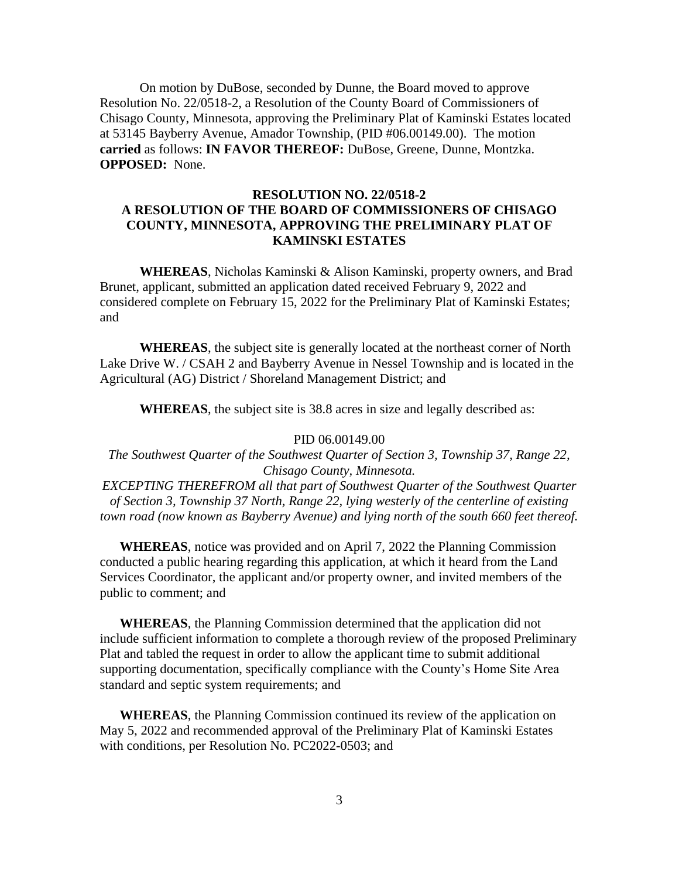On motion by DuBose, seconded by Dunne, the Board moved to approve Resolution No. 22/0518-2, a Resolution of the County Board of Commissioners of Chisago County, Minnesota, approving the Preliminary Plat of Kaminski Estates located at 53145 Bayberry Avenue, Amador Township, (PID #06.00149.00). The motion **carried** as follows: **IN FAVOR THEREOF:** DuBose, Greene, Dunne, Montzka. **OPPOSED:** None.

## **RESOLUTION NO. 22/0518-2 A RESOLUTION OF THE BOARD OF COMMISSIONERS OF CHISAGO COUNTY, MINNESOTA, APPROVING THE PRELIMINARY PLAT OF KAMINSKI ESTATES**

**WHEREAS**, Nicholas Kaminski & Alison Kaminski, property owners, and Brad Brunet, applicant, submitted an application dated received February 9, 2022 and considered complete on February 15, 2022 for the Preliminary Plat of Kaminski Estates; and

**WHEREAS**, the subject site is generally located at the northeast corner of North Lake Drive W. / CSAH 2 and Bayberry Avenue in Nessel Township and is located in the Agricultural (AG) District / Shoreland Management District; and

**WHEREAS**, the subject site is 38.8 acres in size and legally described as:

#### PID 06.00149.00

*The Southwest Quarter of the Southwest Quarter of Section 3, Township 37, Range 22, Chisago County, Minnesota.*

*EXCEPTING THEREFROM all that part of Southwest Quarter of the Southwest Quarter of Section 3, Township 37 North, Range 22, lying westerly of the centerline of existing town road (now known as Bayberry Avenue) and lying north of the south 660 feet thereof.*

**WHEREAS**, notice was provided and on April 7, 2022 the Planning Commission conducted a public hearing regarding this application, at which it heard from the Land Services Coordinator, the applicant and/or property owner, and invited members of the public to comment; and

**WHEREAS**, the Planning Commission determined that the application did not include sufficient information to complete a thorough review of the proposed Preliminary Plat and tabled the request in order to allow the applicant time to submit additional supporting documentation, specifically compliance with the County's Home Site Area standard and septic system requirements; and

**WHEREAS**, the Planning Commission continued its review of the application on May 5, 2022 and recommended approval of the Preliminary Plat of Kaminski Estates with conditions, per Resolution No. PC2022-0503; and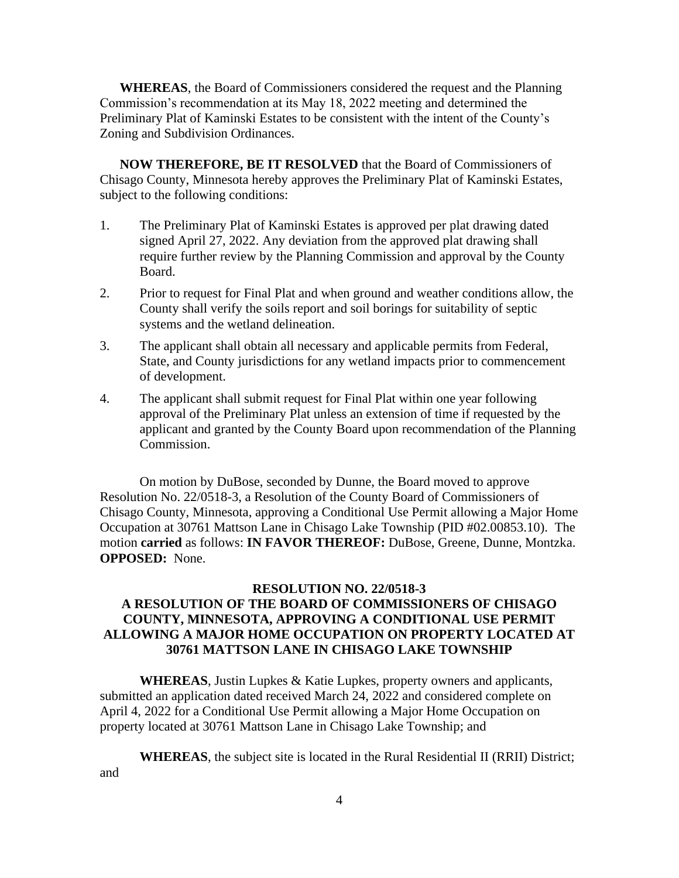**WHEREAS**, the Board of Commissioners considered the request and the Planning Commission's recommendation at its May 18, 2022 meeting and determined the Preliminary Plat of Kaminski Estates to be consistent with the intent of the County's Zoning and Subdivision Ordinances.

**NOW THEREFORE, BE IT RESOLVED** that the Board of Commissioners of Chisago County, Minnesota hereby approves the Preliminary Plat of Kaminski Estates, subject to the following conditions:

- 1. The Preliminary Plat of Kaminski Estates is approved per plat drawing dated signed April 27, 2022. Any deviation from the approved plat drawing shall require further review by the Planning Commission and approval by the County Board.
- 2. Prior to request for Final Plat and when ground and weather conditions allow, the County shall verify the soils report and soil borings for suitability of septic systems and the wetland delineation.
- 3. The applicant shall obtain all necessary and applicable permits from Federal, State, and County jurisdictions for any wetland impacts prior to commencement of development.
- 4. The applicant shall submit request for Final Plat within one year following approval of the Preliminary Plat unless an extension of time if requested by the applicant and granted by the County Board upon recommendation of the Planning Commission.

On motion by DuBose, seconded by Dunne, the Board moved to approve Resolution No. 22/0518-3, a Resolution of the County Board of Commissioners of Chisago County, Minnesota, approving a Conditional Use Permit allowing a Major Home Occupation at 30761 Mattson Lane in Chisago Lake Township (PID #02.00853.10). The motion **carried** as follows: **IN FAVOR THEREOF:** DuBose, Greene, Dunne, Montzka. **OPPOSED:** None.

## **RESOLUTION NO. 22/0518-3 A RESOLUTION OF THE BOARD OF COMMISSIONERS OF CHISAGO COUNTY, MINNESOTA, APPROVING A CONDITIONAL USE PERMIT ALLOWING A MAJOR HOME OCCUPATION ON PROPERTY LOCATED AT 30761 MATTSON LANE IN CHISAGO LAKE TOWNSHIP**

**WHEREAS**, Justin Lupkes & Katie Lupkes, property owners and applicants, submitted an application dated received March 24, 2022 and considered complete on April 4, 2022 for a Conditional Use Permit allowing a Major Home Occupation on property located at 30761 Mattson Lane in Chisago Lake Township; and

**WHEREAS**, the subject site is located in the Rural Residential II (RRII) District; and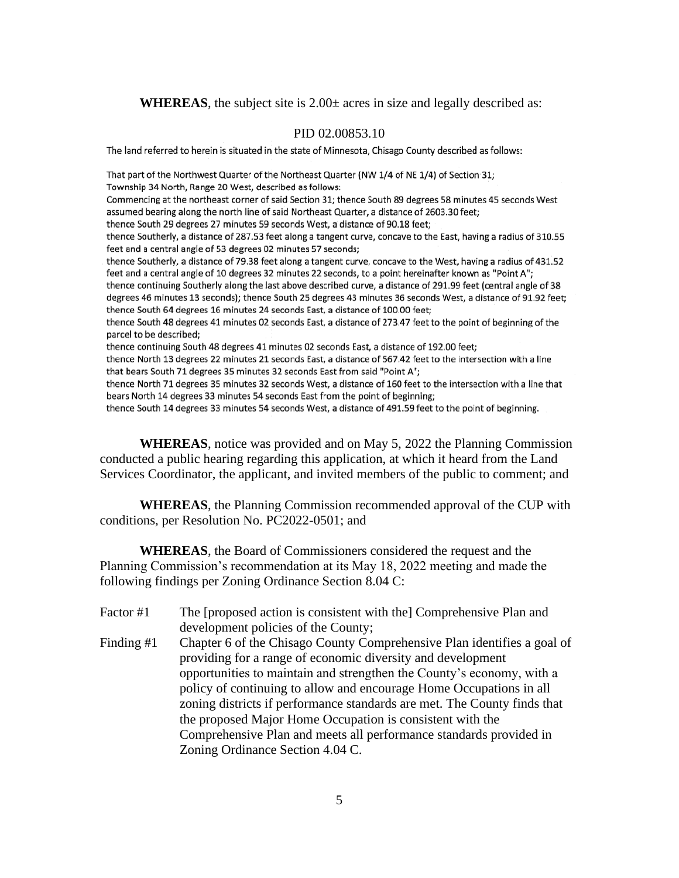**WHEREAS**, the subject site is 2.00± acres in size and legally described as:

#### PID 02.00853.10

The land referred to herein is situated in the state of Minnesota, Chisago County described as follows:

That part of the Northwest Quarter of the Northeast Quarter (NW 1/4 of NE 1/4) of Section 31; Township 34 North, Range 20 West, described as follows: Commencing at the northeast corner of said Section 31; thence South 89 degrees 58 minutes 45 seconds West assumed bearing along the north line of said Northeast Quarter, a distance of 2603.30 feet; thence South 29 degrees 27 minutes 59 seconds West, a distance of 90.18 feet; thence Southerly, a distance of 287.53 feet along a tangent curve, concave to the East, having a radius of 310.55 feet and a central angle of 53 degrees 02 minutes 57 seconds; thence Southerly, a distance of 79.38 feet along a tangent curve, concave to the West, having a radius of 431.52 feet and a central angle of 10 degrees 32 minutes 22 seconds, to a point hereinafter known as "Point A"; thence continuing Southerly along the last above described curve, a distance of 291.99 feet (central angle of 38 degrees 46 minutes 13 seconds); thence South 25 degrees 43 minutes 36 seconds West, a distance of 91.92 feet; thence South 64 degrees 16 minutes 24 seconds East, a distance of 100.00 feet; thence South 48 degrees 41 minutes 02 seconds East, a distance of 273.47 feet to the point of beginning of the parcel to be described; thence continuing South 48 degrees 41 minutes 02 seconds East, a distance of 192.00 feet; thence North 13 degrees 22 minutes 21 seconds East, a distance of 567.42 feet to the intersection with a line that bears South 71 degrees 35 minutes 32 seconds East from said "Point A"; thence North 71 degrees 35 minutes 32 seconds West, a distance of 160 feet to the intersection with a line that bears North 14 degrees 33 minutes 54 seconds East from the point of beginning;

thence South 14 degrees 33 minutes 54 seconds West, a distance of 491.59 feet to the point of beginning.

**WHEREAS**, notice was provided and on May 5, 2022 the Planning Commission conducted a public hearing regarding this application, at which it heard from the Land Services Coordinator, the applicant, and invited members of the public to comment; and

**WHEREAS**, the Planning Commission recommended approval of the CUP with conditions, per Resolution No. PC2022-0501; and

**WHEREAS**, the Board of Commissioners considered the request and the Planning Commission's recommendation at its May 18, 2022 meeting and made the following findings per Zoning Ordinance Section 8.04 C:

Factor #1 The [proposed action is consistent with the] Comprehensive Plan and development policies of the County; Finding #1 Chapter 6 of the Chisago County Comprehensive Plan identifies a goal of providing for a range of economic diversity and development opportunities to maintain and strengthen the County's economy, with a policy of continuing to allow and encourage Home Occupations in all zoning districts if performance standards are met. The County finds that the proposed Major Home Occupation is consistent with the Comprehensive Plan and meets all performance standards provided in Zoning Ordinance Section 4.04 C.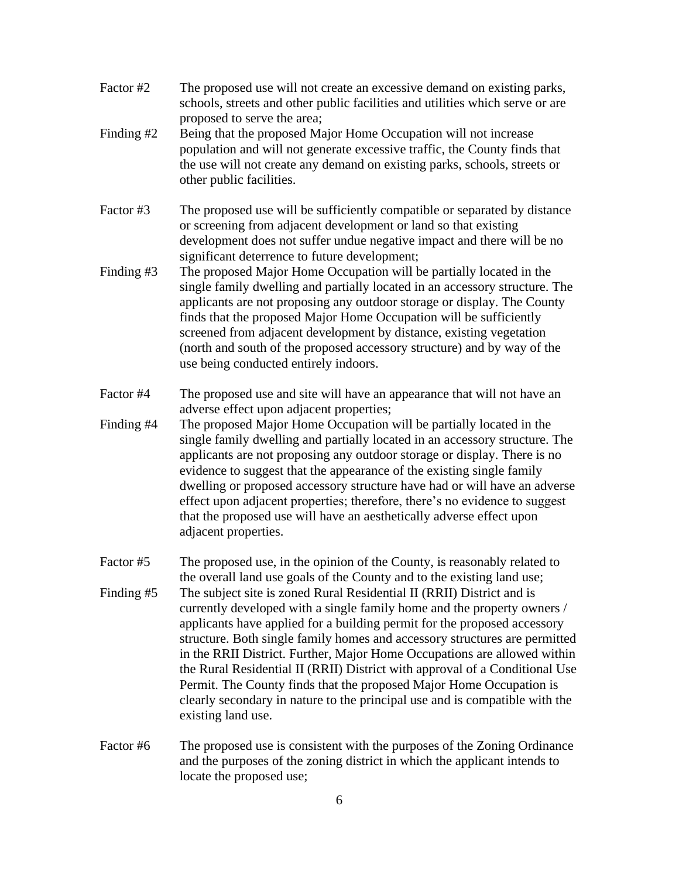- Factor #2 The proposed use will not create an excessive demand on existing parks, schools, streets and other public facilities and utilities which serve or are proposed to serve the area;
- Finding #2 Being that the proposed Major Home Occupation will not increase population and will not generate excessive traffic, the County finds that the use will not create any demand on existing parks, schools, streets or other public facilities.
- Factor #3 The proposed use will be sufficiently compatible or separated by distance or screening from adjacent development or land so that existing development does not suffer undue negative impact and there will be no significant deterrence to future development;
- Finding #3 The proposed Major Home Occupation will be partially located in the single family dwelling and partially located in an accessory structure. The applicants are not proposing any outdoor storage or display. The County finds that the proposed Major Home Occupation will be sufficiently screened from adjacent development by distance, existing vegetation (north and south of the proposed accessory structure) and by way of the use being conducted entirely indoors.
- Factor #4 The proposed use and site will have an appearance that will not have an adverse effect upon adjacent properties;
- Finding #4 The proposed Major Home Occupation will be partially located in the single family dwelling and partially located in an accessory structure. The applicants are not proposing any outdoor storage or display. There is no evidence to suggest that the appearance of the existing single family dwelling or proposed accessory structure have had or will have an adverse effect upon adjacent properties; therefore, there's no evidence to suggest that the proposed use will have an aesthetically adverse effect upon adjacent properties.
- Factor #5 The proposed use, in the opinion of the County, is reasonably related to the overall land use goals of the County and to the existing land use; Finding #5 The subject site is zoned Rural Residential II (RRII) District and is currently developed with a single family home and the property owners / applicants have applied for a building permit for the proposed accessory structure. Both single family homes and accessory structures are permitted in the RRII District. Further, Major Home Occupations are allowed within the Rural Residential II (RRII) District with approval of a Conditional Use Permit. The County finds that the proposed Major Home Occupation is clearly secondary in nature to the principal use and is compatible with the existing land use.
- Factor #6 The proposed use is consistent with the purposes of the Zoning Ordinance and the purposes of the zoning district in which the applicant intends to locate the proposed use;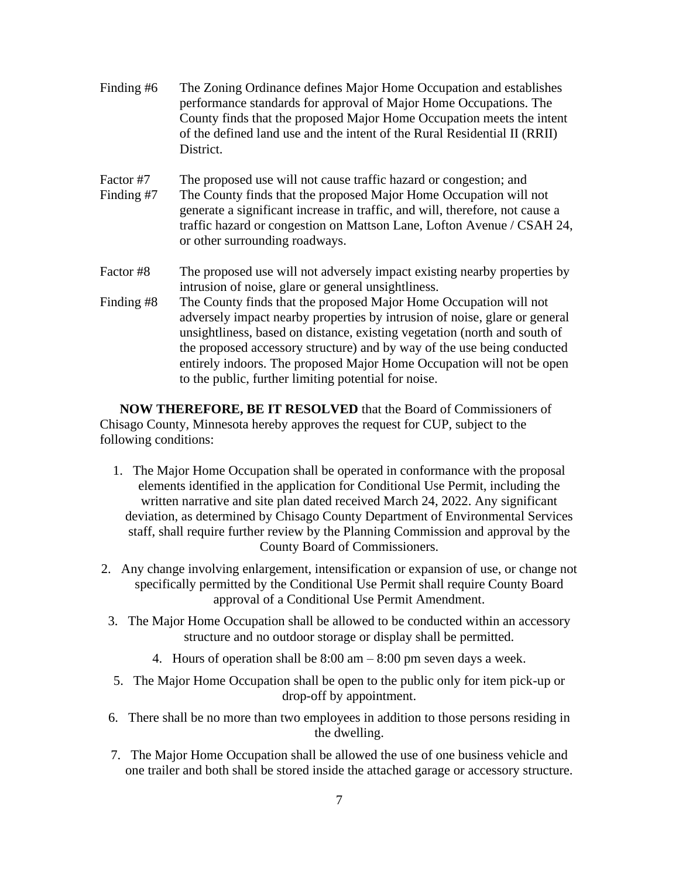- Finding #6 The Zoning Ordinance defines Major Home Occupation and establishes performance standards for approval of Major Home Occupations. The County finds that the proposed Major Home Occupation meets the intent of the defined land use and the intent of the Rural Residential II (RRII) District.
- Factor #7 The proposed use will not cause traffic hazard or congestion; and Finding #7 The County finds that the proposed Major Home Occupation will not generate a significant increase in traffic, and will, therefore, not cause a traffic hazard or congestion on Mattson Lane, Lofton Avenue / CSAH 24, or other surrounding roadways.
- Factor #8 The proposed use will not adversely impact existing nearby properties by intrusion of noise, glare or general unsightliness.
- Finding #8 The County finds that the proposed Major Home Occupation will not adversely impact nearby properties by intrusion of noise, glare or general unsightliness, based on distance, existing vegetation (north and south of the proposed accessory structure) and by way of the use being conducted entirely indoors. The proposed Major Home Occupation will not be open to the public, further limiting potential for noise.

**NOW THEREFORE, BE IT RESOLVED** that the Board of Commissioners of Chisago County, Minnesota hereby approves the request for CUP, subject to the following conditions:

- 1. The Major Home Occupation shall be operated in conformance with the proposal elements identified in the application for Conditional Use Permit, including the written narrative and site plan dated received March 24, 2022. Any significant deviation, as determined by Chisago County Department of Environmental Services staff, shall require further review by the Planning Commission and approval by the County Board of Commissioners.
- 2. Any change involving enlargement, intensification or expansion of use, or change not specifically permitted by the Conditional Use Permit shall require County Board approval of a Conditional Use Permit Amendment.
- 3. The Major Home Occupation shall be allowed to be conducted within an accessory structure and no outdoor storage or display shall be permitted.
	- 4. Hours of operation shall be 8:00 am 8:00 pm seven days a week.
	- 5. The Major Home Occupation shall be open to the public only for item pick-up or drop-off by appointment.
- 6. There shall be no more than two employees in addition to those persons residing in the dwelling.
- 7. The Major Home Occupation shall be allowed the use of one business vehicle and one trailer and both shall be stored inside the attached garage or accessory structure.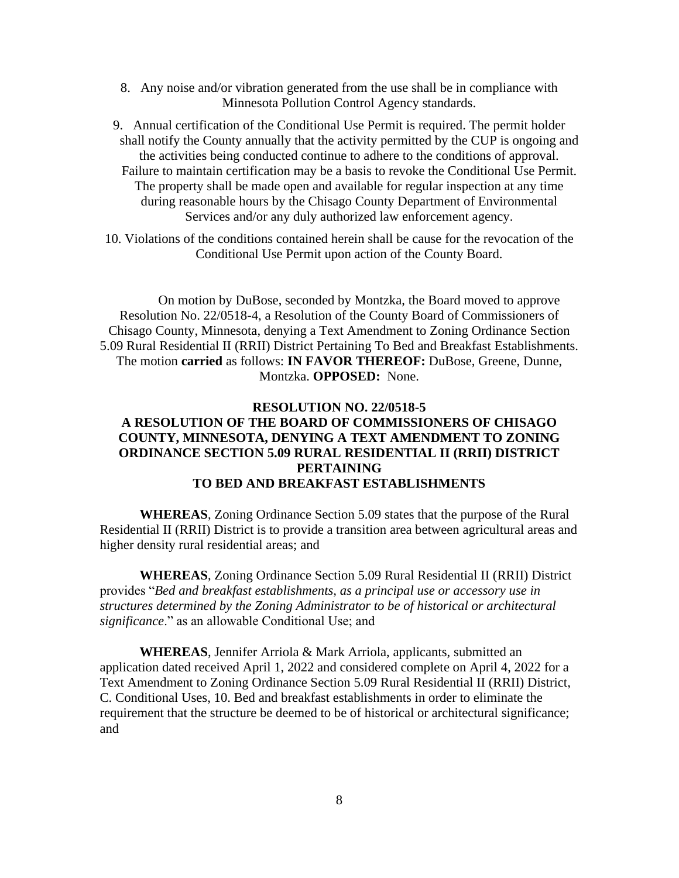- 8. Any noise and/or vibration generated from the use shall be in compliance with Minnesota Pollution Control Agency standards.
- 9. Annual certification of the Conditional Use Permit is required. The permit holder shall notify the County annually that the activity permitted by the CUP is ongoing and the activities being conducted continue to adhere to the conditions of approval. Failure to maintain certification may be a basis to revoke the Conditional Use Permit. The property shall be made open and available for regular inspection at any time during reasonable hours by the Chisago County Department of Environmental Services and/or any duly authorized law enforcement agency.
- 10. Violations of the conditions contained herein shall be cause for the revocation of the Conditional Use Permit upon action of the County Board.

On motion by DuBose, seconded by Montzka, the Board moved to approve Resolution No. 22/0518-4, a Resolution of the County Board of Commissioners of Chisago County, Minnesota, denying a Text Amendment to Zoning Ordinance Section 5.09 Rural Residential II (RRII) District Pertaining To Bed and Breakfast Establishments. The motion **carried** as follows: **IN FAVOR THEREOF:** DuBose, Greene, Dunne, Montzka. **OPPOSED:** None.

#### **RESOLUTION NO. 22/0518-5**

### **A RESOLUTION OF THE BOARD OF COMMISSIONERS OF CHISAGO COUNTY, MINNESOTA, DENYING A TEXT AMENDMENT TO ZONING ORDINANCE SECTION 5.09 RURAL RESIDENTIAL II (RRII) DISTRICT PERTAINING TO BED AND BREAKFAST ESTABLISHMENTS**

**WHEREAS**, Zoning Ordinance Section 5.09 states that the purpose of the Rural Residential II (RRII) District is to provide a transition area between agricultural areas and higher density rural residential areas; and

**WHEREAS**, Zoning Ordinance Section 5.09 Rural Residential II (RRII) District provides "*Bed and breakfast establishments, as a principal use or accessory use in structures determined by the Zoning Administrator to be of historical or architectural significance*." as an allowable Conditional Use; and

**WHEREAS**, Jennifer Arriola & Mark Arriola, applicants, submitted an application dated received April 1, 2022 and considered complete on April 4, 2022 for a Text Amendment to Zoning Ordinance Section 5.09 Rural Residential II (RRII) District, C. Conditional Uses, 10. Bed and breakfast establishments in order to eliminate the requirement that the structure be deemed to be of historical or architectural significance; and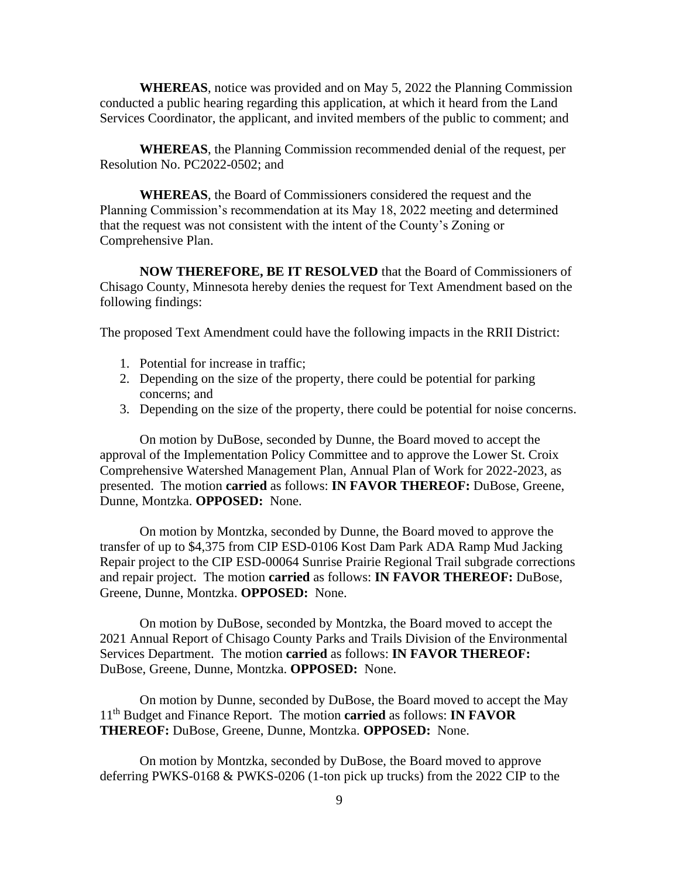**WHEREAS**, notice was provided and on May 5, 2022 the Planning Commission conducted a public hearing regarding this application, at which it heard from the Land Services Coordinator, the applicant, and invited members of the public to comment; and

**WHEREAS**, the Planning Commission recommended denial of the request, per Resolution No. PC2022-0502; and

**WHEREAS**, the Board of Commissioners considered the request and the Planning Commission's recommendation at its May 18, 2022 meeting and determined that the request was not consistent with the intent of the County's Zoning or Comprehensive Plan.

**NOW THEREFORE, BE IT RESOLVED** that the Board of Commissioners of Chisago County, Minnesota hereby denies the request for Text Amendment based on the following findings:

The proposed Text Amendment could have the following impacts in the RRII District:

- 1. Potential for increase in traffic;
- 2. Depending on the size of the property, there could be potential for parking concerns; and
- 3. Depending on the size of the property, there could be potential for noise concerns.

On motion by DuBose, seconded by Dunne, the Board moved to accept the approval of the Implementation Policy Committee and to approve the Lower St. Croix Comprehensive Watershed Management Plan, Annual Plan of Work for 2022-2023, as presented. The motion **carried** as follows: **IN FAVOR THEREOF:** DuBose, Greene, Dunne, Montzka. **OPPOSED:** None.

On motion by Montzka, seconded by Dunne, the Board moved to approve the transfer of up to \$4,375 from CIP ESD-0106 Kost Dam Park ADA Ramp Mud Jacking Repair project to the CIP ESD-00064 Sunrise Prairie Regional Trail subgrade corrections and repair project. The motion **carried** as follows: **IN FAVOR THEREOF:** DuBose, Greene, Dunne, Montzka. **OPPOSED:** None.

On motion by DuBose, seconded by Montzka, the Board moved to accept the 2021 Annual Report of Chisago County Parks and Trails Division of the Environmental Services Department. The motion **carried** as follows: **IN FAVOR THEREOF:** DuBose, Greene, Dunne, Montzka. **OPPOSED:** None.

On motion by Dunne, seconded by DuBose, the Board moved to accept the May 11 th Budget and Finance Report. The motion **carried** as follows: **IN FAVOR THEREOF:** DuBose, Greene, Dunne, Montzka. **OPPOSED:** None.

On motion by Montzka, seconded by DuBose, the Board moved to approve deferring PWKS-0168 & PWKS-0206 (1-ton pick up trucks) from the 2022 CIP to the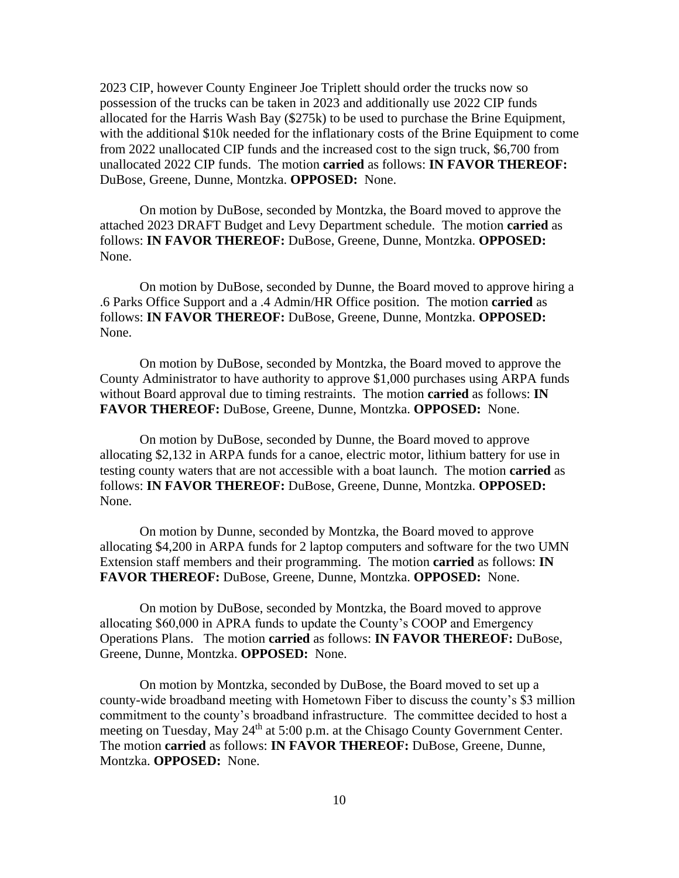2023 CIP, however County Engineer Joe Triplett should order the trucks now so possession of the trucks can be taken in 2023 and additionally use 2022 CIP funds allocated for the Harris Wash Bay (\$275k) to be used to purchase the Brine Equipment, with the additional \$10k needed for the inflationary costs of the Brine Equipment to come from 2022 unallocated CIP funds and the increased cost to the sign truck, \$6,700 from unallocated 2022 CIP funds. The motion **carried** as follows: **IN FAVOR THEREOF:** DuBose, Greene, Dunne, Montzka. **OPPOSED:** None.

On motion by DuBose, seconded by Montzka, the Board moved to approve the attached 2023 DRAFT Budget and Levy Department schedule. The motion **carried** as follows: **IN FAVOR THEREOF:** DuBose, Greene, Dunne, Montzka. **OPPOSED:**  None.

On motion by DuBose, seconded by Dunne, the Board moved to approve hiring a .6 Parks Office Support and a .4 Admin/HR Office position. The motion **carried** as follows: **IN FAVOR THEREOF:** DuBose, Greene, Dunne, Montzka. **OPPOSED:**  None.

On motion by DuBose, seconded by Montzka, the Board moved to approve the County Administrator to have authority to approve \$1,000 purchases using ARPA funds without Board approval due to timing restraints. The motion **carried** as follows: **IN FAVOR THEREOF:** DuBose, Greene, Dunne, Montzka. **OPPOSED:** None.

On motion by DuBose, seconded by Dunne, the Board moved to approve allocating \$2,132 in ARPA funds for a canoe, electric motor, lithium battery for use in testing county waters that are not accessible with a boat launch. The motion **carried** as follows: **IN FAVOR THEREOF:** DuBose, Greene, Dunne, Montzka. **OPPOSED:**  None.

On motion by Dunne, seconded by Montzka, the Board moved to approve allocating \$4,200 in ARPA funds for 2 laptop computers and software for the two UMN Extension staff members and their programming. The motion **carried** as follows: **IN FAVOR THEREOF:** DuBose, Greene, Dunne, Montzka. **OPPOSED:** None.

On motion by DuBose, seconded by Montzka, the Board moved to approve allocating \$60,000 in APRA funds to update the County's COOP and Emergency Operations Plans. The motion **carried** as follows: **IN FAVOR THEREOF:** DuBose, Greene, Dunne, Montzka. **OPPOSED:** None.

On motion by Montzka, seconded by DuBose, the Board moved to set up a county-wide broadband meeting with Hometown Fiber to discuss the county's \$3 million commitment to the county's broadband infrastructure. The committee decided to host a meeting on Tuesday, May  $24<sup>th</sup>$  at 5:00 p.m. at the Chisago County Government Center. The motion **carried** as follows: **IN FAVOR THEREOF:** DuBose, Greene, Dunne, Montzka. **OPPOSED:** None.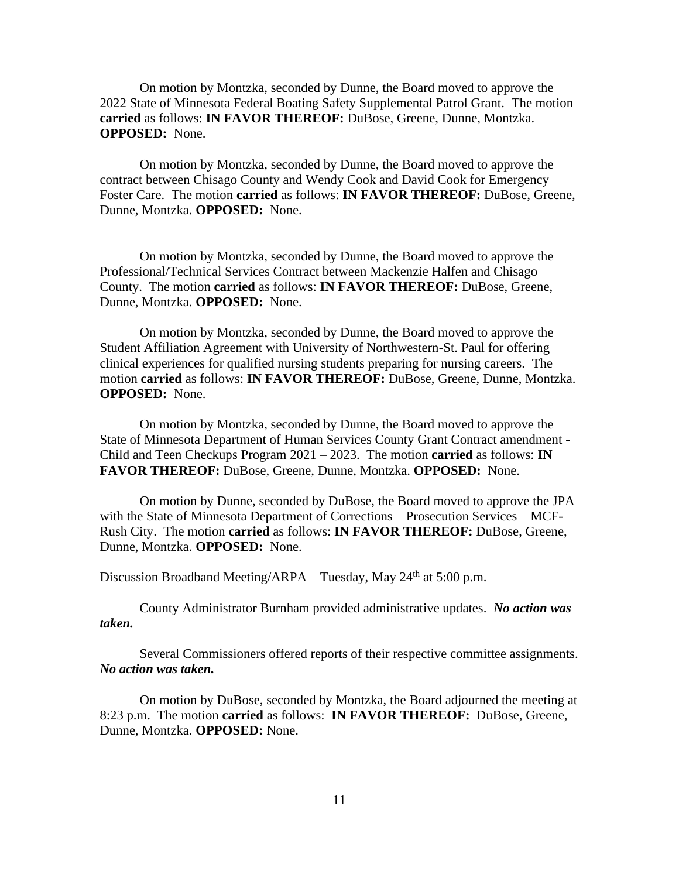On motion by Montzka, seconded by Dunne, the Board moved to approve the 2022 State of Minnesota Federal Boating Safety Supplemental Patrol Grant. The motion **carried** as follows: **IN FAVOR THEREOF:** DuBose, Greene, Dunne, Montzka. **OPPOSED:** None.

On motion by Montzka, seconded by Dunne, the Board moved to approve the contract between Chisago County and Wendy Cook and David Cook for Emergency Foster Care. The motion **carried** as follows: **IN FAVOR THEREOF:** DuBose, Greene, Dunne, Montzka. **OPPOSED:** None.

On motion by Montzka, seconded by Dunne, the Board moved to approve the Professional/Technical Services Contract between Mackenzie Halfen and Chisago County. The motion **carried** as follows: **IN FAVOR THEREOF:** DuBose, Greene, Dunne, Montzka. **OPPOSED:** None.

On motion by Montzka, seconded by Dunne, the Board moved to approve the Student Affiliation Agreement with University of Northwestern-St. Paul for offering clinical experiences for qualified nursing students preparing for nursing careers. The motion **carried** as follows: **IN FAVOR THEREOF:** DuBose, Greene, Dunne, Montzka. **OPPOSED:** None.

On motion by Montzka, seconded by Dunne, the Board moved to approve the State of Minnesota Department of Human Services County Grant Contract amendment - Child and Teen Checkups Program 2021 – 2023. The motion **carried** as follows: **IN FAVOR THEREOF:** DuBose, Greene, Dunne, Montzka. **OPPOSED:** None.

On motion by Dunne, seconded by DuBose, the Board moved to approve the JPA with the State of Minnesota Department of Corrections – Prosecution Services – MCF-Rush City. The motion **carried** as follows: **IN FAVOR THEREOF:** DuBose, Greene, Dunne, Montzka. **OPPOSED:** None.

Discussion Broadband Meeting/ARPA – Tuesday, May  $24<sup>th</sup>$  at 5:00 p.m.

County Administrator Burnham provided administrative updates. *No action was taken.*

Several Commissioners offered reports of their respective committee assignments. *No action was taken.*

On motion by DuBose, seconded by Montzka, the Board adjourned the meeting at 8:23 p.m. The motion **carried** as follows: **IN FAVOR THEREOF:** DuBose, Greene, Dunne, Montzka. **OPPOSED:** None.